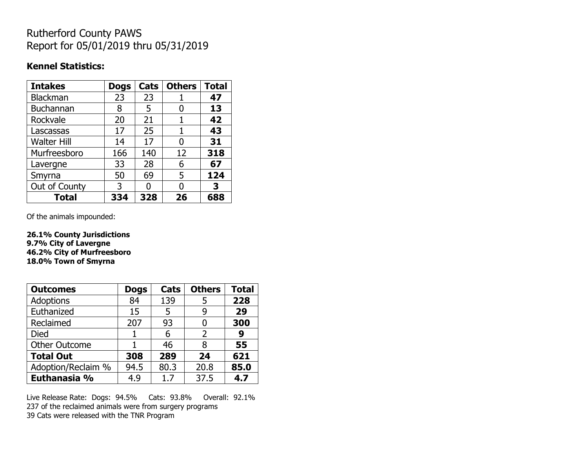## Rutherford County PAWS Report for 05/01/2019 thru 05/31/2019

#### **Kennel Statistics:**

| <b>Intakes</b>     | <b>Dogs</b> | Cats | <b>Others</b> | <b>Total</b> |
|--------------------|-------------|------|---------------|--------------|
| Blackman           | 23          | 23   |               | 47           |
| <b>Buchannan</b>   | 8           | 5    | O             | 13           |
| Rockvale           | 20          | 21   |               | 42           |
| Lascassas          | 17          | 25   | 1             | 43           |
| <b>Walter Hill</b> | 14          | 17   | 0             | 31           |
| Murfreesboro       | 166         | 140  | 12            | 318          |
| Lavergne           | 33          | 28   | 6             | 67           |
| Smyrna             | 50          | 69   | 5             | 124          |
| Out of County      | 3           | n    | O             | 3            |
| <b>Total</b>       | 334         | 328  | 26            | 688          |

Of the animals impounded:

**26.1% County Jurisdictions 9.7% City of Lavergne 46.2% City of Murfreesboro 18.0% Town of Smyrna**

| <b>Outcomes</b>      | <b>Dogs</b> | Cats | <b>Others</b> | <b>Total</b> |
|----------------------|-------------|------|---------------|--------------|
| Adoptions            | 84          | 139  | 5             | 228          |
| Euthanized           | 15          | 5    | g             | 29           |
| Reclaimed            | 207         | 93   |               | 300          |
| <b>Died</b>          |             | 6    | 2             | 9            |
| <b>Other Outcome</b> |             | 46   | 8             | 55           |
| <b>Total Out</b>     | 308         | 289  | 24            | 621          |
| Adoption/Reclaim %   | 94.5        | 80.3 | 20.8          | 85.0         |
| Euthanasia %         | 4.9         | 1.7  | 37.5          | 4.7          |

Live Release Rate: Dogs: 94.5% Cats: 93.8% Overall: 92.1% 237 of the reclaimed animals were from surgery programs 39 Cats were released with the TNR Program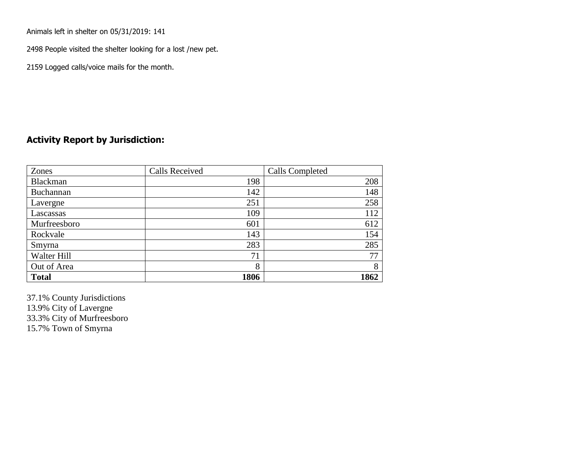Animals left in shelter on 05/31/2019: 141

2498 People visited the shelter looking for a lost /new pet.

2159 Logged calls/voice mails for the month.

### **Activity Report by Jurisdiction:**

| Zones           | <b>Calls Received</b> | Calls Completed |
|-----------------|-----------------------|-----------------|
| <b>Blackman</b> | 198                   | 208             |
| Buchannan       | 142                   | 148             |
| Lavergne        | 251                   | 258             |
| Lascassas       | 109                   | 112             |
| Murfreesboro    | 601                   | 612             |
| Rockvale        | 143                   | 154             |
| Smyrna          | 283                   | 285             |
| Walter Hill     | 71                    | 77              |
| Out of Area     | 8                     | 8               |
| <b>Total</b>    | 1806                  | 1862            |

37.1% County Jurisdictions 13.9% City of Lavergne 33.3% City of Murfreesboro 15.7% Town of Smyrna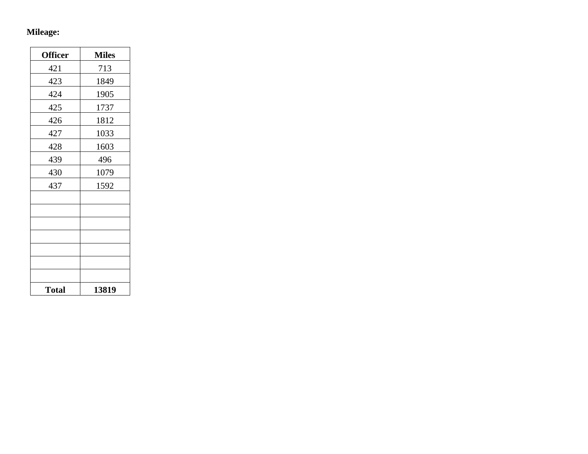## **Mileage:**

| <b>Officer</b> | <b>Miles</b> |
|----------------|--------------|
| 421            | 713          |
| 423            | 1849         |
| 424            | 1905         |
| 425            | 1737         |
| 426            | 1812         |
| 427            | 1033         |
| 428            | 1603         |
| 439            | 496          |
| 430            | 1079         |
| 437            | 1592         |
|                |              |
|                |              |
|                |              |
|                |              |
|                |              |
|                |              |
|                |              |
| <b>Total</b>   | 13819        |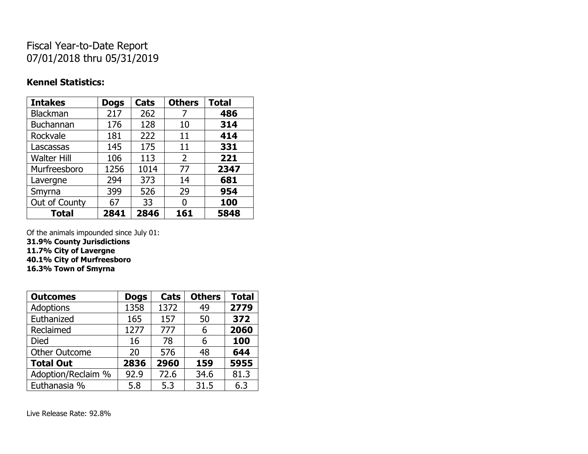# Fiscal Year-to-Date Report 07/01/2018 thru 05/31/2019

### **Kennel Statistics:**

| <b>Intakes</b>     | <b>Dogs</b> | Cats | <b>Others</b>  | <b>Total</b> |
|--------------------|-------------|------|----------------|--------------|
| <b>Blackman</b>    | 217         | 262  | 7              | 486          |
| <b>Buchannan</b>   | 176         | 128  | 10             | 314          |
| Rockvale           | 181         | 222  | 11             | 414          |
| Lascassas          | 145         | 175  | 11             | 331          |
| <b>Walter Hill</b> | 106         | 113  | $\overline{2}$ | 221          |
| Murfreesboro       | 1256        | 1014 | 77             | 2347         |
| Lavergne           | 294         | 373  | 14             | 681          |
| Smyrna             | 399         | 526  | 29             | 954          |
| Out of County      | 67          | 33   | 0              | 100          |
| <b>Total</b>       | 2841        | 2846 | 161            | 5848         |

Of the animals impounded since July 01:

**31.9% County Jurisdictions**

**11.7% City of Lavergne**

**40.1% City of Murfreesboro**

**16.3% Town of Smyrna**

| <b>Outcomes</b>      | <b>Dogs</b> | Cats | <b>Others</b> | <b>Total</b> |
|----------------------|-------------|------|---------------|--------------|
| <b>Adoptions</b>     | 1358        | 1372 | 49            | 2779         |
| Euthanized           | 165         | 157  | 50            | 372          |
| Reclaimed            | 1277        | 777  | 6             | 2060         |
| <b>Died</b>          | 16          | 78   | 6             | 100          |
| <b>Other Outcome</b> | 20          | 576  | 48            | 644          |
| <b>Total Out</b>     | 2836        | 2960 | 159           | 5955         |
| Adoption/Reclaim %   | 92.9        | 72.6 | 34.6          | 81.3         |
| Euthanasia %         | 5.8         | 5.3  | 31.5          | 6.3          |

Live Release Rate: 92.8%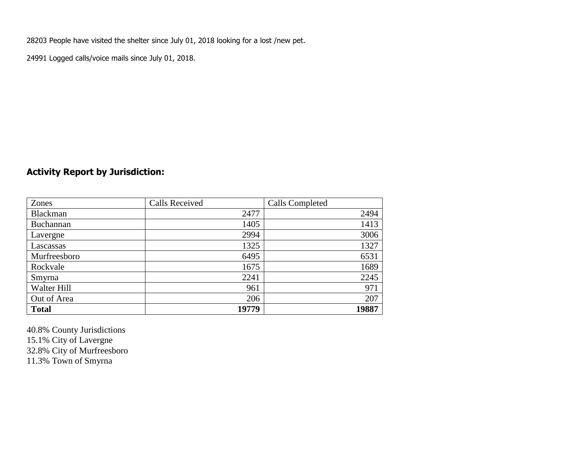28203 People have visited the shelter since July 01, 2018 looking for a lost /new pet.

24991 Logged calls/voice mails since July 01, 2018.

## **Activity Report by Jurisdiction:**

| Zones           | <b>Calls Received</b> | Calls Completed |
|-----------------|-----------------------|-----------------|
| <b>Blackman</b> | 2477                  | 2494            |
| Buchannan       | 1405                  | 1413            |
| Lavergne        | 2994                  | 3006            |
| Lascassas       | 1325                  | 1327            |
| Murfreesboro    | 6495                  | 6531            |
| Rockvale        | 1675                  | 1689            |
| Smyrna          | 2241                  | 2245            |
| Walter Hill     | 961                   | 971             |
| Out of Area     | 206                   | 207             |
| <b>Total</b>    | 19779                 | 19887           |

40.8% County Jurisdictions 15.1% City of Lavergne 32.8% City of Murfreesboro 11.3% Town of Smyrna